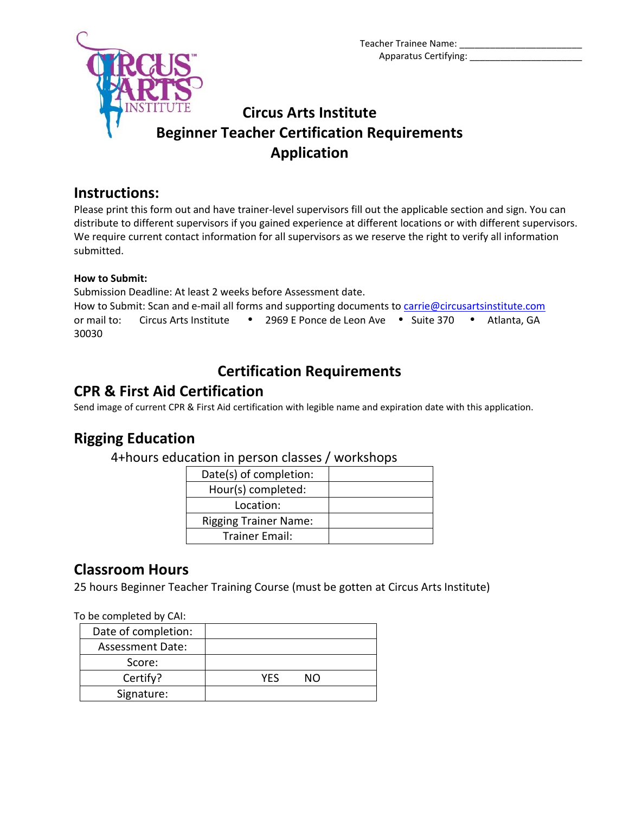

## **Circus Arts Institute Beginner Teacher Certification Requirements Application**

### **Instructions:**

Please print this form out and have trainer-level supervisors fill out the applicable section and sign. You can distribute to different supervisors if you gained experience at different locations or with different supervisors. We require current contact information for all supervisors as we reserve the right to verify all information submitted.

#### **How to Submit:**

Submission Deadline: At least 2 weeks before Assessment date.

How to Submit: Scan and e-mail all forms and supporting documents to [carrie@circusartsinstitute.com](mailto:carrie@circusartsinstitute.com) or mail to: Circus Arts Institute . 2969 E Ponce de Leon Ave . Suite 370 . Atlanta, GA 30030

# **Certification Requirements**

### **CPR & First Aid Certification**

Send image of current CPR & First Aid certification with legible name and expiration date with this application.

### **Rigging Education**

4+hours education in person classes / workshops

| Date(s) of completion:       |  |
|------------------------------|--|
| Hour(s) completed:           |  |
| Location:                    |  |
| <b>Rigging Trainer Name:</b> |  |
| <b>Trainer Email:</b>        |  |

### **Classroom Hours**

25 hours Beginner Teacher Training Course (must be gotten at Circus Arts Institute)

To be completed by CAI:

| Date of completion:     |     |    |  |
|-------------------------|-----|----|--|
| <b>Assessment Date:</b> |     |    |  |
| Score:                  |     |    |  |
| Certify?                | YFS | NΩ |  |
| Signature:              |     |    |  |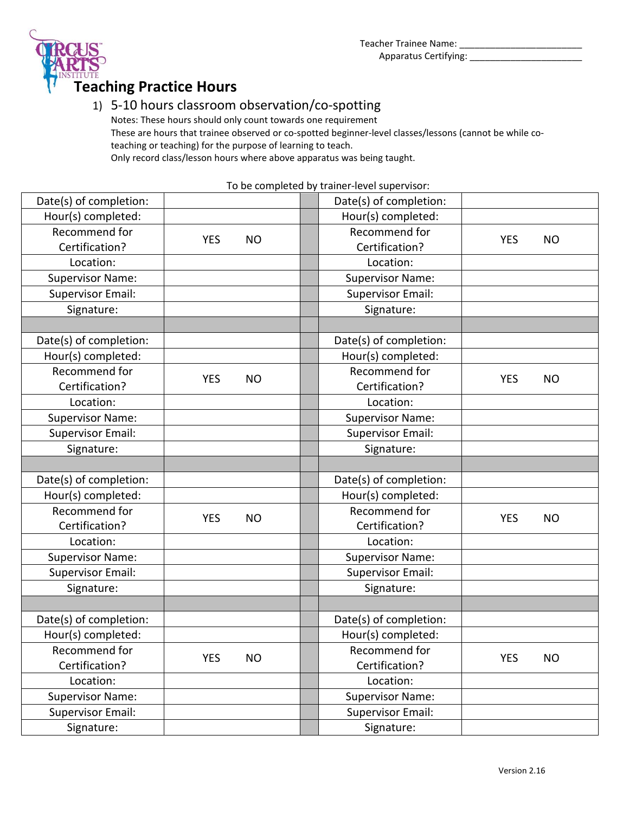



### 1) 5-10 hours classroom observation/co-spotting

Notes: These hours should only count towards one requirement These are hours that trainee observed or co-spotted beginner-level classes/lessons (cannot be while coteaching or teaching) for the purpose of learning to teach. Only record class/lesson hours where above apparatus was being taught.

To be completed by trainer-level supervisor:

| Date(s) of completion:   |            |           | Date(s) of completion:   |            |           |
|--------------------------|------------|-----------|--------------------------|------------|-----------|
| Hour(s) completed:       |            |           | Hour(s) completed:       |            |           |
| Recommend for            | <b>YES</b> | <b>NO</b> | Recommend for            | <b>YES</b> | <b>NO</b> |
| Certification?           |            |           | Certification?           |            |           |
| Location:                |            |           | Location:                |            |           |
| <b>Supervisor Name:</b>  |            |           | <b>Supervisor Name:</b>  |            |           |
| <b>Supervisor Email:</b> |            |           | <b>Supervisor Email:</b> |            |           |
| Signature:               |            |           | Signature:               |            |           |
|                          |            |           |                          |            |           |
| Date(s) of completion:   |            |           | Date(s) of completion:   |            |           |
| Hour(s) completed:       |            |           | Hour(s) completed:       |            |           |
| Recommend for            | <b>YES</b> | <b>NO</b> | Recommend for            | <b>YES</b> | <b>NO</b> |
| Certification?           |            |           | Certification?           |            |           |
| Location:                |            |           | Location:                |            |           |
| <b>Supervisor Name:</b>  |            |           | <b>Supervisor Name:</b>  |            |           |
| <b>Supervisor Email:</b> |            |           | <b>Supervisor Email:</b> |            |           |
| Signature:               |            |           | Signature:               |            |           |
|                          |            |           |                          |            |           |
| Date(s) of completion:   |            |           | Date(s) of completion:   |            |           |
| Hour(s) completed:       |            |           | Hour(s) completed:       |            |           |
| Recommend for            | <b>YES</b> | <b>NO</b> | Recommend for            | <b>YES</b> |           |
| Certification?           |            |           | Certification?           |            | <b>NO</b> |
| Location:                |            |           | Location:                |            |           |
| <b>Supervisor Name:</b>  |            |           | <b>Supervisor Name:</b>  |            |           |
| <b>Supervisor Email:</b> |            |           | <b>Supervisor Email:</b> |            |           |
| Signature:               |            |           | Signature:               |            |           |
|                          |            |           |                          |            |           |
| Date(s) of completion:   |            |           | Date(s) of completion:   |            |           |
| Hour(s) completed:       |            |           | Hour(s) completed:       |            |           |
| Recommend for            |            | <b>NO</b> | Recommend for            | <b>YES</b> | <b>NO</b> |
| Certification?           | <b>YES</b> |           | Certification?           |            |           |
| Location:                |            |           | Location:                |            |           |
| <b>Supervisor Name:</b>  |            |           | <b>Supervisor Name:</b>  |            |           |
| <b>Supervisor Email:</b> |            |           | <b>Supervisor Email:</b> |            |           |
| Signature:               |            |           | Signature:               |            |           |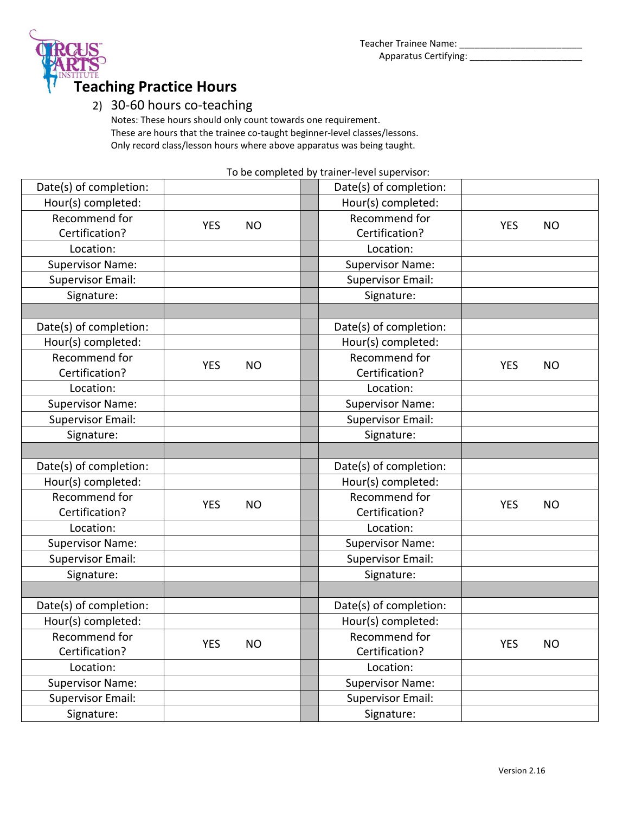

#### 2) 30-60 hours co-teaching

Notes: These hours should only count towards one requirement. These are hours that the trainee co-taught beginner-level classes/lessons. Only record class/lesson hours where above apparatus was being taught.

To be completed by trainer-level supervisor:

| Date(s) of completion:   |                         |           | Date(s) of completion:   |            |           |
|--------------------------|-------------------------|-----------|--------------------------|------------|-----------|
| Hour(s) completed:       |                         |           | Hour(s) completed:       |            |           |
| Recommend for            |                         |           | Recommend for            |            |           |
| Certification?           | <b>YES</b>              | <b>NO</b> | Certification?           | <b>YES</b> | <b>NO</b> |
| Location:                |                         |           | Location:                |            |           |
| <b>Supervisor Name:</b>  |                         |           | <b>Supervisor Name:</b>  |            |           |
| <b>Supervisor Email:</b> |                         |           | <b>Supervisor Email:</b> |            |           |
| Signature:               |                         |           | Signature:               |            |           |
|                          |                         |           |                          |            |           |
| Date(s) of completion:   |                         |           | Date(s) of completion:   |            |           |
| Hour(s) completed:       |                         |           | Hour(s) completed:       |            |           |
| Recommend for            |                         |           | Recommend for            |            |           |
| Certification?           | <b>YES</b>              | <b>NO</b> | Certification?           | <b>YES</b> | <b>NO</b> |
| Location:                |                         |           | Location:                |            |           |
| <b>Supervisor Name:</b>  |                         |           | <b>Supervisor Name:</b>  |            |           |
| <b>Supervisor Email:</b> |                         |           | <b>Supervisor Email:</b> |            |           |
| Signature:               |                         |           | Signature:               |            |           |
|                          |                         |           |                          |            |           |
| Date(s) of completion:   |                         |           | Date(s) of completion:   |            |           |
| Hour(s) completed:       |                         |           | Hour(s) completed:       |            |           |
| Recommend for            | <b>YES</b>              | <b>NO</b> | Recommend for            | <b>YES</b> | <b>NO</b> |
| Certification?           |                         |           | Certification?           |            |           |
| Location:                |                         |           | Location:                |            |           |
| <b>Supervisor Name:</b>  |                         |           | <b>Supervisor Name:</b>  |            |           |
| <b>Supervisor Email:</b> |                         |           | <b>Supervisor Email:</b> |            |           |
| Signature:               |                         |           | Signature:               |            |           |
|                          |                         |           |                          |            |           |
| Date(s) of completion:   |                         |           | Date(s) of completion:   |            |           |
| Hour(s) completed:       |                         |           | Hour(s) completed:       |            |           |
| Recommend for            |                         |           | Recommend for            |            |           |
| Certification?           | <b>YES</b><br><b>NO</b> |           | Certification?           | <b>YES</b> | <b>NO</b> |
| Location:                |                         |           | Location:                |            |           |
| <b>Supervisor Name:</b>  |                         |           | <b>Supervisor Name:</b>  |            |           |
| <b>Supervisor Email:</b> |                         |           | <b>Supervisor Email:</b> |            |           |
| Signature:               |                         |           | Signature:               |            |           |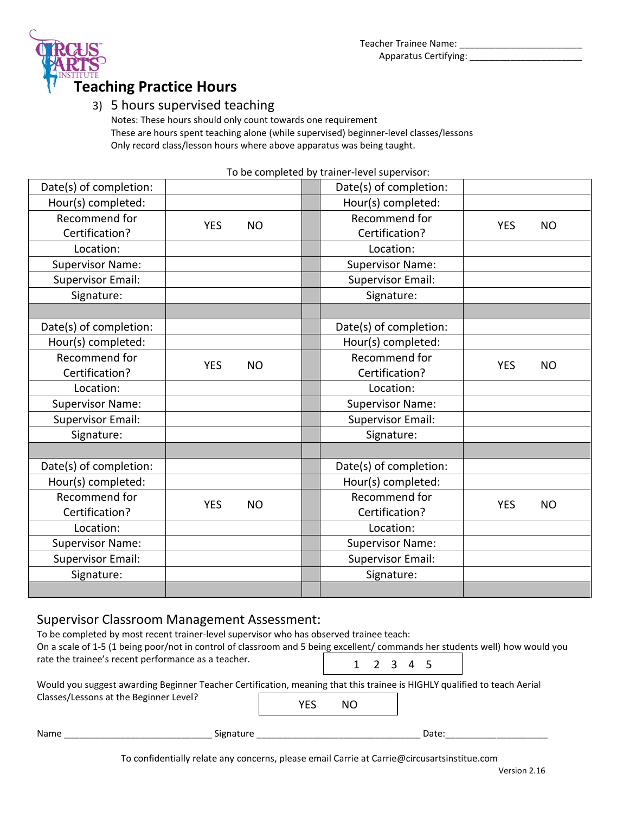

### 3) 5 hours supervised teaching

Notes: These hours should only count towards one requirement These are hours spent teaching alone (while supervised) beginner-level classes/lessons Only record class/lesson hours where above apparatus was being taught.

To be completed by trainer-level supervisor:

| Date(s) of completion:   |                         |           |  | Date(s) of completion:   |            |           |
|--------------------------|-------------------------|-----------|--|--------------------------|------------|-----------|
| Hour(s) completed:       |                         |           |  | Hour(s) completed:       |            |           |
| Recommend for            | <b>YES</b><br><b>NO</b> |           |  | Recommend for            | <b>YES</b> | <b>NO</b> |
| Certification?           |                         |           |  | Certification?           |            |           |
| Location:                |                         |           |  | Location:                |            |           |
| <b>Supervisor Name:</b>  |                         |           |  | <b>Supervisor Name:</b>  |            |           |
| <b>Supervisor Email:</b> |                         |           |  | <b>Supervisor Email:</b> |            |           |
| Signature:               |                         |           |  | Signature:               |            |           |
|                          |                         |           |  |                          |            |           |
| Date(s) of completion:   |                         |           |  | Date(s) of completion:   |            |           |
| Hour(s) completed:       |                         |           |  | Hour(s) completed:       |            |           |
| Recommend for            | <b>YES</b>              |           |  | Recommend for            | <b>YES</b> | <b>NO</b> |
| Certification?           |                         | <b>NO</b> |  | Certification?           |            |           |
| Location:                |                         |           |  | Location:                |            |           |
| <b>Supervisor Name:</b>  |                         |           |  | <b>Supervisor Name:</b>  |            |           |
| <b>Supervisor Email:</b> |                         |           |  | <b>Supervisor Email:</b> |            |           |
| Signature:               |                         |           |  | Signature:               |            |           |
|                          |                         |           |  |                          |            |           |
| Date(s) of completion:   |                         |           |  | Date(s) of completion:   |            |           |
| Hour(s) completed:       |                         |           |  | Hour(s) completed:       |            |           |
| Recommend for            | <b>YES</b>              |           |  | Recommend for            | <b>YES</b> | <b>NO</b> |
| Certification?           |                         | <b>NO</b> |  | Certification?           |            |           |
| Location:                |                         |           |  | Location:                |            |           |
| <b>Supervisor Name:</b>  |                         |           |  | <b>Supervisor Name:</b>  |            |           |
| <b>Supervisor Email:</b> |                         |           |  | <b>Supervisor Email:</b> |            |           |
| Signature:               |                         |           |  | Signature:               |            |           |
|                          |                         |           |  |                          |            |           |

### Supervisor Classroom Management Assessment:

| To be completed by most recent trainer-level supervisor who has observed trainee teach:<br>On a scale of 1-5 (1 being poor/not in control of classroom and 5 being excellent/ commands her students well) how would you<br>rate the trainee's recent performance as a teacher. |           |     |     |  |  |           |       |  |  |  |
|--------------------------------------------------------------------------------------------------------------------------------------------------------------------------------------------------------------------------------------------------------------------------------|-----------|-----|-----|--|--|-----------|-------|--|--|--|
|                                                                                                                                                                                                                                                                                |           |     |     |  |  | 1 2 3 4 5 |       |  |  |  |
| Would you suggest awarding Beginner Teacher Certification, meaning that this trainee is HIGHLY qualified to teach Aerial                                                                                                                                                       |           |     |     |  |  |           |       |  |  |  |
| Classes/Lessons at the Beginner Level?                                                                                                                                                                                                                                         |           | YES | NO. |  |  |           |       |  |  |  |
| Name                                                                                                                                                                                                                                                                           | Signature |     |     |  |  |           | Date: |  |  |  |

To confidentially relate any concerns, please email Carrie at Carrie@circusartsinstitue.com